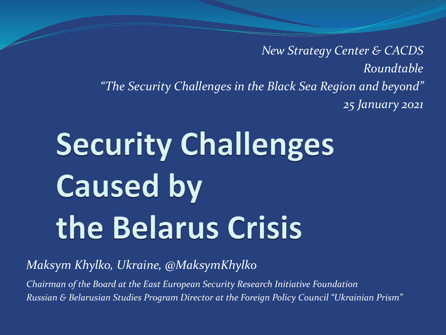*New Strategy Center & CACDS Roundtable "The Security Challenges in the Black Sea Region and beyond" 25 January 2021*

# **Security Challenges Caused by** the Belarus Crisis

*Maksym Khylko, Ukraine, @MaksymKhylko*

*Chairman of the Board at the East European Security Research Initiative Foundation Russian & Belarusian Studies Program Director at the Foreign Policy Council "Ukrainian Prism"*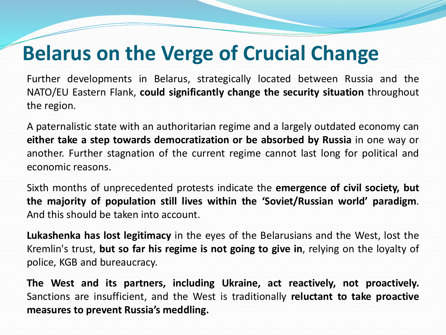### **Belarus on the Verge of Crucial Change**

Further developments in Belarus, strategically located between Russia and the NATO/EU Eastern Flank, **could significantly change the security situation** throughout the region.

A paternalistic state with an authoritarian regime and a largely outdated economy can **either take a step towards democratization or be absorbed by Russia** in one way or another. Further stagnation of the current regime cannot last long for political and economic reasons.

Sixth months of unprecedented protests indicate the **emergence of civil society, but the majority of population still lives within the 'Soviet/Russian world' paradigm**. And this should be taken into account.

**Lukashenka has lost legitimacy** in the eyes of the Belarusians and the West, lost the Kremlin's trust, **but so far his regime is not going to give in**, relying on the loyalty of police, KGB and bureaucracy.

**The West and its partners, including Ukraine, act reactively, not proactively.** Sanctions are insufficient, and the West is traditionally **reluctant to take proactive measures to prevent Russia's meddling.**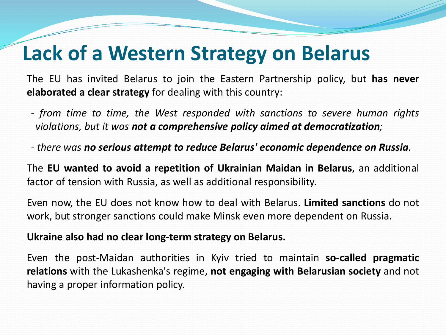#### **Lack of a Western Strategy on Belarus**

The EU has invited Belarus to join the Eastern Partnership policy, but **has never elaborated a clear strategy** for dealing with this country:

- *- from time to time, the West responded with sanctions to severe human rights violations, but it was not a comprehensive policy aimed at democratization;*
- *- there was no serious attempt to reduce Belarus' economic dependence on Russia.*

The **EU wanted to avoid a repetition of Ukrainian Maidan in Belarus**, an additional factor of tension with Russia, as well as additional responsibility.

Even now, the EU does not know how to deal with Belarus. **Limited sanctions** do not work, but stronger sanctions could make Minsk even more dependent on Russia.

#### **Ukraine also had no clear long-term strategy on Belarus.**

Even the post-Maidan authorities in Kyiv tried to maintain **so-called pragmatic relations** with the Lukashenka's regime, **not engaging with Belarusian society** and not having a proper information policy.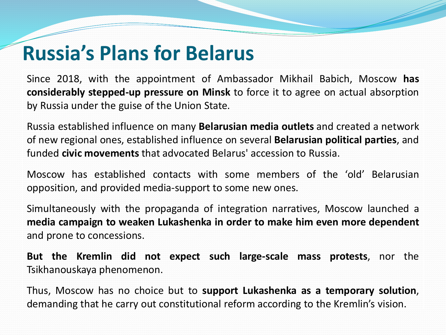#### **Russia's Plans for Belarus**

Since 2018, with the appointment of Ambassador Mikhail Babich, Moscow **has considerably stepped-up pressure on Minsk** to force it to agree on actual absorption by Russia under the guise of the Union State.

Russia established influence on many **Belarusian media outlets** and created a network of new regional ones, established influence on several **Belarusian political parties**, and funded **civic movements** that advocated Belarus' accession to Russia.

Moscow has established contacts with some members of the 'old' Belarusian opposition, and provided media-support to some new ones.

Simultaneously with the propaganda of integration narratives, Moscow launched a **media campaign to weaken Lukashenka in order to make him even more dependent** and prone to concessions.

**But the Kremlin did not expect such large-scale mass protests**, nor the Tsikhanouskaya phenomenon.

Thus, Moscow has no choice but to **support Lukashenka as a temporary solution**, demanding that he carry out constitutional reform according to the Kremlin's vision.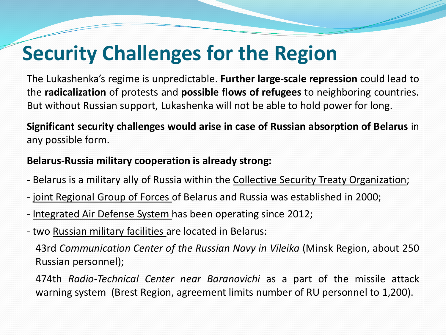## **Security Challenges for the Region**

The Lukashenka's regime is unpredictable. **Further large-scale repression** could lead to the **radicalization** of protests and **possible flows of refugees** to neighboring countries. But without Russian support, Lukashenka will not be able to hold power for long.

**Significant security challenges would arise in case of Russian absorption of Belarus** in any possible form.

#### **Belarus-Russia military cooperation is already strong:**

- Belarus is a military ally of Russia within the Collective Security Treaty Organization;
- joint Regional Group of Forces of Belarus and Russia was established in 2000;
- Integrated Air Defense System has been operating since 2012;
- two Russian military facilities are located in Belarus:

43rd *Communication Center of the Russian Navy in Vileika* (Minsk Region, about 250 Russian personnel);

474th *Radio-Technical Center near Baranovichi* as a part of the missile attack warning system (Brest Region, agreement limits number of RU personnel to 1,200).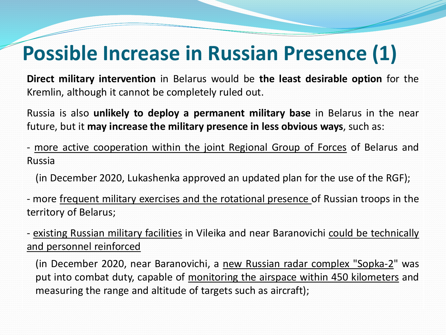### **Possible Increase in Russian Presence (1)**

**Direct military intervention** in Belarus would be **the least desirable option** for the Kremlin, although it cannot be completely ruled out.

Russia is also **unlikely to deploy a permanent military base** in Belarus in the near future, but it **may increase the military presence in less obvious ways**, such as:

- more active cooperation within the joint Regional Group of Forces of Belarus and Russia

(in December 2020, Lukashenka approved an updated plan for the use of the RGF);

- more frequent military exercises and the rotational presence of Russian troops in the territory of Belarus;

- existing Russian military facilities in Vileika and near Baranovichi could be technically and personnel reinforced

(in December 2020, near Baranovichi, a new Russian radar complex "Sopka-2" was put into combat duty, capable of monitoring the airspace within 450 kilometers and measuring the range and altitude of targets such as aircraft);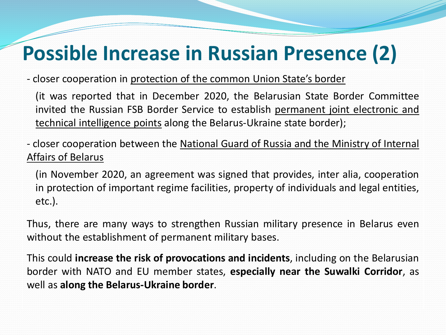## **Possible Increase in Russian Presence (2)**

- closer cooperation in protection of the common Union State's border

(it was reported that in December 2020, the Belarusian State Border Committee invited the Russian FSB Border Service to establish permanent joint electronic and technical intelligence points along the Belarus-Ukraine state border);

- closer cooperation between the National Guard of Russia and the Ministry of Internal Affairs of Belarus

(in November 2020, an agreement was signed that provides, inter alia, cooperation in protection of important regime facilities, property of individuals and legal entities, etc.).

Thus, there are many ways to strengthen Russian military presence in Belarus even without the establishment of permanent military bases.

This could **increase the risk of provocations and incidents**, including on the Belarusian border with NATO and EU member states, **especially near the Suwalki Corridor**, as well as **along the Belarus-Ukraine border**.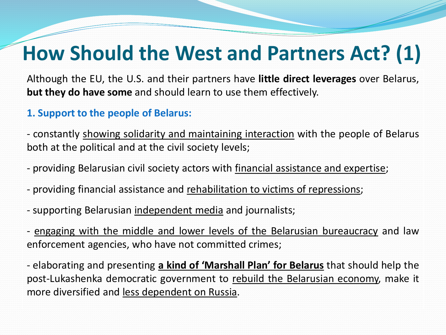### **How Should the West and Partners Act? (1)**

Although the EU, the U.S. and their partners have **little direct leverages** over Belarus, **but they do have some** and should learn to use them effectively.

#### **1. Support to the people of Belarus:**

- constantly showing solidarity and maintaining interaction with the people of Belarus both at the political and at the civil society levels;

- providing Belarusian civil society actors with financial assistance and expertise;
- providing financial assistance and rehabilitation to victims of repressions;
- supporting Belarusian independent media and journalists;

- engaging with the middle and lower levels of the Belarusian bureaucracy and law enforcement agencies, who have not committed crimes;

- elaborating and presenting **a kind of 'Marshall Plan' for Belarus** that should help the post-Lukashenka democratic government to rebuild the Belarusian economy, make it more diversified and less dependent on Russia.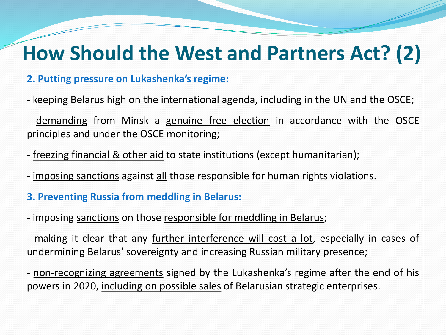#### **How Should the West and Partners Act? (2)**

#### **2. Putting pressure on Lukashenka's regime:**

- keeping Belarus high on the international agenda, including in the UN and the OSCE;

- demanding from Minsk a genuine free election in accordance with the OSCE principles and under the OSCE monitoring;
- freezing financial & other aid to state institutions (except humanitarian);
- imposing sanctions against all those responsible for human rights violations.
- **3. Preventing Russia from meddling in Belarus:**
- imposing sanctions on those responsible for meddling in Belarus;
- making it clear that any further interference will cost a lot, especially in cases of undermining Belarus' sovereignty and increasing Russian military presence;
- non-recognizing agreements signed by the Lukashenka's regime after the end of his powers in 2020, including on possible sales of Belarusian strategic enterprises.